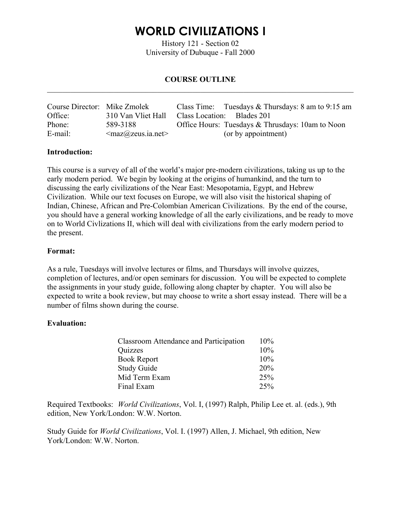History 121 - Section 02 University of Dubuque - Fall 2000

### **COURSE OUTLINE**   $\mathcal{L}_\mathcal{L} = \{ \mathcal{L}_\mathcal{L} = \{ \mathcal{L}_\mathcal{L} = \{ \mathcal{L}_\mathcal{L} = \{ \mathcal{L}_\mathcal{L} = \{ \mathcal{L}_\mathcal{L} = \{ \mathcal{L}_\mathcal{L} = \{ \mathcal{L}_\mathcal{L} = \{ \mathcal{L}_\mathcal{L} = \{ \mathcal{L}_\mathcal{L} = \{ \mathcal{L}_\mathcal{L} = \{ \mathcal{L}_\mathcal{L} = \{ \mathcal{L}_\mathcal{L} = \{ \mathcal{L}_\mathcal{L} = \{ \mathcal{L}_\mathcal{$

| Course Director: Mike Zmolek |                                                  | Class Time: Tuesdays & Thursdays: $8 \text{ am to } 9:15 \text{ am}$ |
|------------------------------|--------------------------------------------------|----------------------------------------------------------------------|
| Office:                      | 310 Van Vliet Hall                               | Class Location: Blades 201                                           |
| Phone:                       | 589-3188                                         | Office Hours: Tuesdays & Thrusdays: 10am to Noon                     |
| E-mail:                      | $\langle \text{max@zeus.} \text{ia.net} \rangle$ | (or by appointment)                                                  |

### **Introduction:**

This course is a survey of all of the world's major pre-modern civilizations, taking us up to the early modern period. We begin by looking at the origins of humankind, and the turn to discussing the early civilizations of the Near East: Mesopotamia, Egypt, and Hebrew Civilization. While our text focuses on Europe, we will also visit the historical shaping of Indian, Chinese, African and Pre-Colombian American Civilizations. By the end of the course, you should have a general working knowledge of all the early civilizations, and be ready to move on to World Civlizations II, which will deal with civilizations from the early modern period to the present.

#### **Format:**

As a rule, Tuesdays will involve lectures or films, and Thursdays will involve quizzes, completion of lectures, and/or open seminars for discussion. You will be expected to complete the assignments in your study guide, following along chapter by chapter. You will also be expected to write a book review, but may choose to write a short essay instead. There will be a number of films shown during the course.

### **Evaluation:**

| Classroom Attendance and Participation | $10\%$ |
|----------------------------------------|--------|
| Quizzes                                | $10\%$ |
| <b>Book Report</b>                     | $10\%$ |
| <b>Study Guide</b>                     | 20%    |
| Mid Term Exam                          | 25%    |
| Final Exam                             | 25%    |

Required Textbooks: *World Civilizations*, Vol. I, (1997) Ralph, Philip Lee et. al. (eds.), 9th edition, New York/London: W.W. Norton.

Study Guide for *World Civilizations*, Vol. I. (1997) Allen, J. Michael, 9th edition, New York/London: W.W. Norton.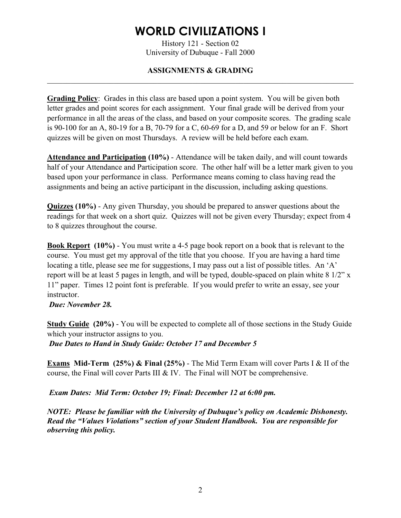History 121 - Section 02 University of Dubuque - Fall 2000

### **ASSIGNMENTS & GRADING**   $\mathcal{L}_\mathcal{L} = \{ \mathcal{L}_\mathcal{L} = \{ \mathcal{L}_\mathcal{L} = \{ \mathcal{L}_\mathcal{L} = \{ \mathcal{L}_\mathcal{L} = \{ \mathcal{L}_\mathcal{L} = \{ \mathcal{L}_\mathcal{L} = \{ \mathcal{L}_\mathcal{L} = \{ \mathcal{L}_\mathcal{L} = \{ \mathcal{L}_\mathcal{L} = \{ \mathcal{L}_\mathcal{L} = \{ \mathcal{L}_\mathcal{L} = \{ \mathcal{L}_\mathcal{L} = \{ \mathcal{L}_\mathcal{L} = \{ \mathcal{L}_\mathcal{$

**Grading Policy**: Grades in this class are based upon a point system. You will be given both letter grades and point scores for each assignment. Your final grade will be derived from your performance in all the areas of the class, and based on your composite scores. The grading scale is 90-100 for an A, 80-19 for a B, 70-79 for a C, 60-69 for a D, and 59 or below for an F. Short quizzes will be given on most Thursdays. A review will be held before each exam.

**Attendance and Participation (10%)** - Attendance will be taken daily, and will count towards half of your Attendance and Participation score. The other half will be a letter mark given to you based upon your performance in class. Performance means coming to class having read the assignments and being an active participant in the discussion, including asking questions.

**Quizzes (10%)** - Any given Thursday, you should be prepared to answer questions about the readings for that week on a short quiz. Quizzes will not be given every Thursday; expect from 4 to 8 quizzes throughout the course.

**Book Report (10%)** - You must write a 4-5 page book report on a book that is relevant to the course. You must get my approval of the title that you choose. If you are having a hard time locating a title, please see me for suggestions, I may pass out a list of possible titles. An 'A' report will be at least 5 pages in length, and will be typed, double-spaced on plain white 8 1/2" x 11" paper. Times 12 point font is preferable. If you would prefer to write an essay, see your instructor.

### *Due: November 28.*

**Study Guide (20%)** - You will be expected to complete all of those sections in the Study Guide which your instructor assigns to you. *Due Dates to Hand in Study Guide: October 17 and December 5* 

**Exams Mid-Term (25%) & Final (25%)** - The Mid Term Exam will cover Parts I & II of the course, the Final will cover Parts III & IV. The Final will NOT be comprehensive.

*Exam Dates: Mid Term: October 19; Final: December 12 at 6:00 pm.* 

*NOTE: Please be familiar with the University of Dubuque's policy on Academic Dishonesty. Read the "Values Violations" section of your Student Handbook. You are responsible for observing this policy.*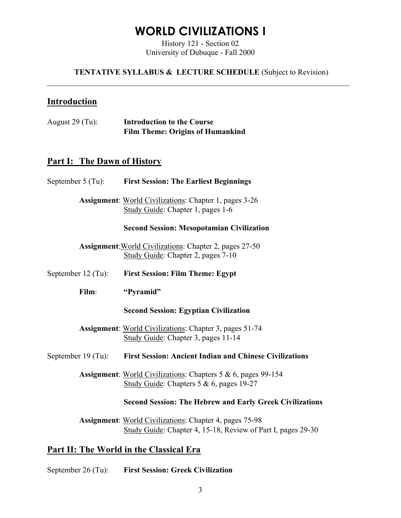History 121 - Section 02 University of Dubuque - Fall 2000

**TENTATIVE SYLLABUS & LECTURE SCHEDULE** (Subject to Revision)  $\_$  , and the contribution of the contribution of the contribution of the contribution of  $\mathcal{L}_\mathcal{A}$ 

## **Introduction**

| August $29$ (Tu): | <b>Introduction to the Course</b>       |
|-------------------|-----------------------------------------|
|                   | <b>Film Theme: Origins of Humankind</b> |

## **Part I: The Dawn of History**

|                                                | September 5 (Tu): First Session: The Earliest Beginnings                                                                       |  |
|------------------------------------------------|--------------------------------------------------------------------------------------------------------------------------------|--|
|                                                | <b>Assignment:</b> World Civilizations: Chapter 1, pages 3-26<br>Study Guide: Chapter 1, pages 1-6                             |  |
|                                                | <b>Second Session: Mesopotamian Civilization</b>                                                                               |  |
|                                                | <b>Assignment:</b> World Civilizations: Chapter 2, pages 27-50<br>Study Guide: Chapter 2, pages 7-10                           |  |
| September $12$ (Tu):                           | <b>First Session: Film Theme: Egypt</b>                                                                                        |  |
| Film:                                          | "Pyramid"                                                                                                                      |  |
|                                                | <b>Second Session: Egyptian Civilization</b>                                                                                   |  |
|                                                | <b>Assignment:</b> World Civilizations: Chapter 3, pages 51-74<br>Study Guide: Chapter 3, pages 11-14                          |  |
|                                                | September 19 (Tu): First Session: Ancient Indian and Chinese Civilizations                                                     |  |
|                                                | <b>Assignment:</b> World Civilizations: Chapters $5 & 6$ , pages 99-154<br>Study Guide: Chapters $5 & 6$ , pages 19-27         |  |
|                                                | <b>Second Session: The Hebrew and Early Greek Civilizations</b>                                                                |  |
|                                                | <b>Assignment:</b> World Civilizations: Chapter 4, pages 75-98<br>Study Guide: Chapter 4, 15-18, Review of Part I, pages 29-30 |  |
| <b>Part II: The World in the Classical Era</b> |                                                                                                                                |  |
| September 26 (Tu):                             | <b>First Session: Greek Civilization</b>                                                                                       |  |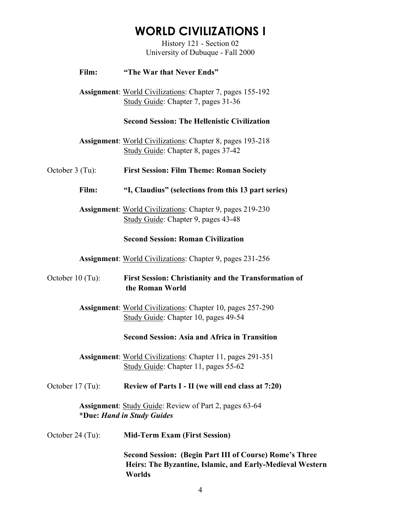History 121 - Section 02 University of Dubuque - Fall 2000

### **Film: "The War that Never Ends"**

 **Assignment**: World Civilizations: Chapter 7, pages 155-192 Study Guide: Chapter 7, pages 31-36

#### **Second Session: The Hellenistic Civilization**

 **Assignment**: World Civilizations: Chapter 8, pages 193-218 Study Guide: Chapter 8, pages 37-42

October 3 (Tu): **First Session: Film Theme: Roman Society** 

 **Film: "I, Claudius" (selections from this 13 part series)**

 **Assignment**: World Civilizations: Chapter 9, pages 219-230 Study Guide: Chapter 9, pages 43-48

#### **Second Session: Roman Civilization**

 **Assignment**: World Civilizations: Chapter 9, pages 231-256

October 10 (Tu): **First Session: Christianity and the Transformation of the Roman World**

> **Assignment**: World Civilizations: Chapter 10, pages 257-290 Study Guide: Chapter 10, pages 49-54

#### **Second Session: Asia and Africa in Transition**

 **Assignment**: World Civilizations: Chapter 11, pages 291-351 Study Guide: Chapter 11, pages 55-62

October 17 (Tu): **Review of Parts I - II (we will end class at 7:20)**

**Assignment**: Study Guide: Review of Part 2, pages 63-64 \***Due:** *Hand in Study Guides*

October 24 (Tu): **Mid-Term Exam (First Session)** 

 **Second Session: (Begin Part III of Course) Rome's Three Heirs: The Byzantine, Islamic, and Early-Medieval Western Worlds**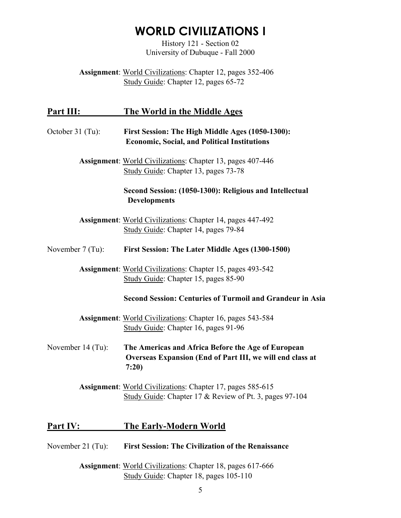History 121 - Section 02 University of Dubuque - Fall 2000

**Assignment**: World Civilizations: Chapter 12, pages 352-406 Study Guide: Chapter 12, pages 65-72

## **Part III: The World in the Middle Ages**

# October 31 (Tu): **First Session: The High Middle Ages (1050-1300): Economic, Social, and Political Institutions Assignment**: World Civilizations: Chapter 13, pages 407-446 Study Guide: Chapter 13, pages 73-78 **Second Session: (1050-1300): Religious and Intellectual Developments Assignment**: World Civilizations: Chapter 14, pages 447-492 Study Guide: Chapter 14, pages 79-84 November 7 (Tu): **First Session: The Later Middle Ages (1300-1500) Assignment**: World Civilizations: Chapter 15, pages 493-542 Study Guide: Chapter 15, pages 85-90 **Second Session: Centuries of Turmoil and Grandeur in Asia Assignment**: World Civilizations: Chapter 16, pages 543-584 Study Guide: Chapter 16, pages 91-96 November 14 (Tu): **The Americas and Africa Before the Age of European Overseas Expansion (End of Part III, we will end class at 7:20) Assignment**: World Civilizations: Chapter 17, pages 585-615 Study Guide: Chapter 17 & Review of Pt. 3, pages 97-104

## **Part IV: The Early-Modern World**

- November 21 (Tu): **First Session: The Civilization of the Renaissance**
	- **Assignment**: World Civilizations: Chapter 18, pages 617-666 Study Guide: Chapter 18, pages 105-110